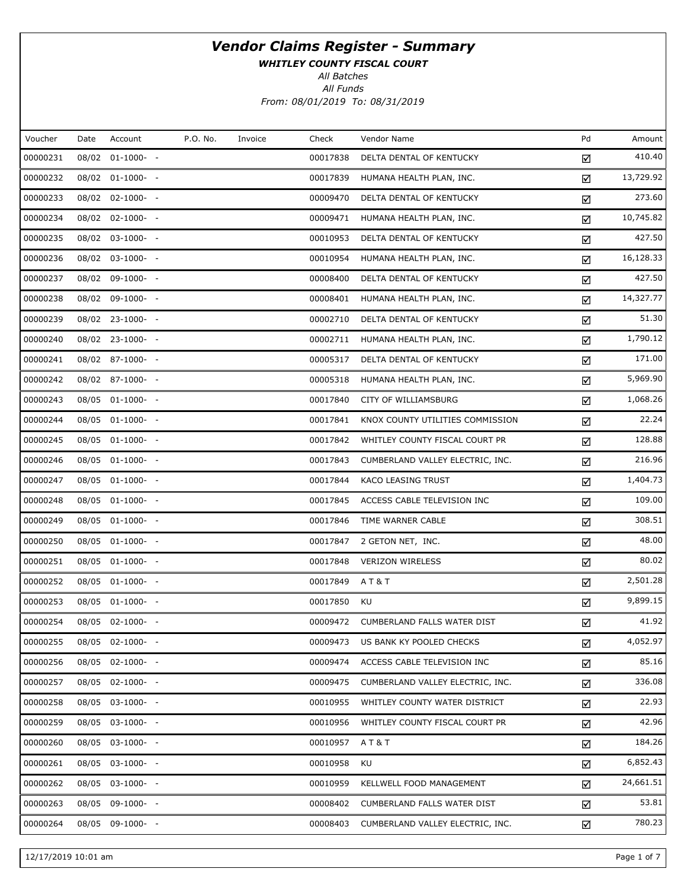WHITLEY COUNTY FISCAL COURT

All Batches

All Funds

From: 08/01/2019 To: 08/31/2019

| Amount    | Pd | Vendor Name                      | Check    | Invoice | P.O. No. | Account          | Date | Voucher  |
|-----------|----|----------------------------------|----------|---------|----------|------------------|------|----------|
| 410.40    | ☑  | DELTA DENTAL OF KENTUCKY         | 00017838 |         |          | 08/02 01-1000- - |      | 00000231 |
| 13,729.92 | ☑  | HUMANA HEALTH PLAN, INC.         | 00017839 |         |          | 08/02 01-1000- - |      | 00000232 |
| 273.60    | ☑  | DELTA DENTAL OF KENTUCKY         | 00009470 |         |          | 08/02 02-1000- - |      | 00000233 |
| 10,745.82 | ☑  | HUMANA HEALTH PLAN, INC.         | 00009471 |         |          | 08/02 02-1000- - |      | 00000234 |
| 427.50    | ☑  | DELTA DENTAL OF KENTUCKY         | 00010953 |         |          | 08/02 03-1000- - |      | 00000235 |
| 16,128.33 | ☑  | HUMANA HEALTH PLAN, INC.         | 00010954 |         |          | 08/02 03-1000- - |      | 00000236 |
| 427.50    | ☑  | DELTA DENTAL OF KENTUCKY         | 00008400 |         |          | 08/02 09-1000- - |      | 00000237 |
| 14,327.77 | ☑  | HUMANA HEALTH PLAN, INC.         | 00008401 |         |          | 08/02 09-1000- - |      | 00000238 |
| 51.30     | ☑  | DELTA DENTAL OF KENTUCKY         | 00002710 |         |          | 08/02 23-1000- - |      | 00000239 |
| 1,790.12  | ☑  | HUMANA HEALTH PLAN, INC.         | 00002711 |         |          | 08/02 23-1000- - |      | 00000240 |
| 171.00    | ☑  | DELTA DENTAL OF KENTUCKY         | 00005317 |         |          | 08/02 87-1000- - |      | 00000241 |
| 5,969.90  | ☑  | HUMANA HEALTH PLAN, INC.         | 00005318 |         |          | 08/02 87-1000- - |      | 00000242 |
| 1,068.26  | ☑  | CITY OF WILLIAMSBURG             | 00017840 |         |          | 08/05 01-1000- - |      | 00000243 |
| 22.24     | ☑  | KNOX COUNTY UTILITIES COMMISSION | 00017841 |         |          | 08/05 01-1000- - |      | 00000244 |
| 128.88    | ☑  | WHITLEY COUNTY FISCAL COURT PR   | 00017842 |         |          | 08/05 01-1000- - |      | 00000245 |
| 216.96    | ☑  | CUMBERLAND VALLEY ELECTRIC, INC. | 00017843 |         |          | 08/05 01-1000- - |      | 00000246 |
| 1,404.73  | ☑  | KACO LEASING TRUST               | 00017844 |         |          | 08/05 01-1000- - |      | 00000247 |
| 109.00    | ☑  | ACCESS CABLE TELEVISION INC      | 00017845 |         |          | 08/05 01-1000- - |      | 00000248 |
| 308.51    | ☑  | TIME WARNER CABLE                | 00017846 |         |          | 08/05 01-1000- - |      | 00000249 |
| 48.00     | ☑  | 2 GETON NET, INC.                | 00017847 |         |          | 08/05 01-1000- - |      | 00000250 |
| 80.02     | ☑  | <b>VERIZON WIRELESS</b>          | 00017848 |         |          | 08/05 01-1000- - |      | 00000251 |
| 2,501.28  | ☑  | <b>AT&amp;T</b>                  | 00017849 |         |          | 08/05 01-1000- - |      | 00000252 |
| 9,899.15  | ☑  | KU                               | 00017850 |         |          | 08/05 01-1000- - |      | 00000253 |
| 41.92     | ☑  | CUMBERLAND FALLS WATER DIST      | 00009472 |         |          | 08/05 02-1000- - |      | 00000254 |
| 4,052.97  | ☑  | US BANK KY POOLED CHECKS         | 00009473 |         |          | 08/05 02-1000- - |      | 00000255 |
| 85.16     | ☑  | ACCESS CABLE TELEVISION INC      | 00009474 |         |          | 08/05 02-1000- - |      | 00000256 |
| 336.08    | ☑  | CUMBERLAND VALLEY ELECTRIC, INC. | 00009475 |         |          | 08/05 02-1000- - |      | 00000257 |
| 22.93     | ☑  | WHITLEY COUNTY WATER DISTRICT    | 00010955 |         |          | 08/05 03-1000- - |      | 00000258 |
| 42.96     | ☑  | WHITLEY COUNTY FISCAL COURT PR   | 00010956 |         |          | 08/05 03-1000- - |      | 00000259 |
| 184.26    | ☑  | AT&T                             | 00010957 |         |          | 08/05 03-1000- - |      | 00000260 |
| 6,852.43  | ☑  | KU                               | 00010958 |         |          | 08/05 03-1000- - |      | 00000261 |
| 24,661.51 | ☑  | KELLWELL FOOD MANAGEMENT         | 00010959 |         |          | 08/05 03-1000- - |      | 00000262 |
| 53.81     | ☑  | CUMBERLAND FALLS WATER DIST      | 00008402 |         |          | 08/05 09-1000- - |      | 00000263 |
| 780.23    | ☑  | CUMBERLAND VALLEY ELECTRIC, INC. | 00008403 |         |          | 08/05 09-1000- - |      | 00000264 |
|           |    |                                  |          |         |          |                  |      |          |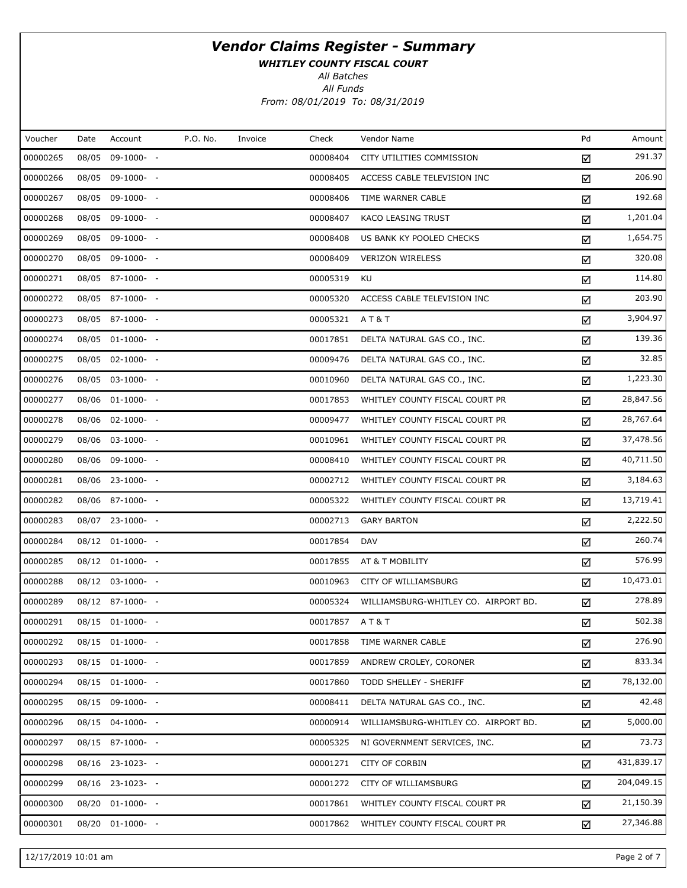WHITLEY COUNTY FISCAL COURT

All Batches

All Funds From: 08/01/2019 To: 08/31/2019

| Voucher  | Date | Account          | P.O. No. | Invoice | Check         | Vendor Name                          | Pd | Amount     |
|----------|------|------------------|----------|---------|---------------|--------------------------------------|----|------------|
| 00000265 |      | 08/05 09-1000- - |          |         | 00008404      | CITY UTILITIES COMMISSION            | ☑  | 291.37     |
| 00000266 |      | 08/05 09-1000- - |          |         | 00008405      | ACCESS CABLE TELEVISION INC          | ☑  | 206.90     |
| 00000267 |      | 08/05 09-1000- - |          |         | 00008406      | TIME WARNER CABLE                    | ☑  | 192.68     |
| 00000268 |      | 08/05 09-1000- - |          |         | 00008407      | KACO LEASING TRUST                   | ☑  | 1,201.04   |
| 00000269 |      | 08/05 09-1000- - |          |         | 00008408      | US BANK KY POOLED CHECKS             | ☑  | 1,654.75   |
| 00000270 |      | 08/05 09-1000- - |          |         | 00008409      | <b>VERIZON WIRELESS</b>              | ☑  | 320.08     |
| 00000271 |      | 08/05 87-1000- - |          |         | 00005319      | KU                                   | ☑  | 114.80     |
| 00000272 |      | 08/05 87-1000- - |          |         | 00005320      | ACCESS CABLE TELEVISION INC          | ☑  | 203.90     |
| 00000273 |      | 08/05 87-1000- - |          |         | 00005321      | A T & T                              | ☑  | 3,904.97   |
| 00000274 |      | 08/05 01-1000- - |          |         | 00017851      | DELTA NATURAL GAS CO., INC.          | ☑  | 139.36     |
| 00000275 |      | 08/05 02-1000- - |          |         | 00009476      | DELTA NATURAL GAS CO., INC.          | ☑  | 32.85      |
| 00000276 |      | 08/05 03-1000- - |          |         | 00010960      | DELTA NATURAL GAS CO., INC.          | ☑  | 1,223.30   |
| 00000277 |      | 08/06 01-1000- - |          |         | 00017853      | WHITLEY COUNTY FISCAL COURT PR       | ☑  | 28,847.56  |
| 00000278 |      | 08/06 02-1000- - |          |         | 00009477      | WHITLEY COUNTY FISCAL COURT PR       | ☑  | 28,767.64  |
| 00000279 |      | 08/06 03-1000- - |          |         | 00010961      | WHITLEY COUNTY FISCAL COURT PR       | ☑  | 37,478.56  |
| 00000280 |      | 08/06 09-1000- - |          |         | 00008410      | WHITLEY COUNTY FISCAL COURT PR       | ☑  | 40,711.50  |
| 00000281 |      | 08/06 23-1000- - |          |         | 00002712      | WHITLEY COUNTY FISCAL COURT PR       | ☑  | 3,184.63   |
| 00000282 |      | 08/06 87-1000- - |          |         | 00005322      | WHITLEY COUNTY FISCAL COURT PR       | ☑  | 13,719.41  |
| 00000283 |      | 08/07 23-1000- - |          |         | 00002713      | <b>GARY BARTON</b>                   | ☑  | 2,222.50   |
| 00000284 |      | 08/12 01-1000- - |          |         | 00017854      | <b>DAV</b>                           | ☑  | 260.74     |
| 00000285 |      | 08/12 01-1000- - |          |         | 00017855      | AT & T MOBILITY                      | ☑  | 576.99     |
| 00000288 |      | 08/12 03-1000- - |          |         | 00010963      | CITY OF WILLIAMSBURG                 | ☑  | 10,473.01  |
| 00000289 |      | 08/12 87-1000- - |          |         | 00005324      | WILLIAMSBURG-WHITLEY CO. AIRPORT BD. | ☑  | 278.89     |
| 00000291 |      | 08/15 01-1000- - |          |         | 00017857 AT&T |                                      | ☑  | 502.38     |
| 00000292 |      | 08/15 01-1000- - |          |         | 00017858      | TIME WARNER CABLE                    | ☑  | 276.90     |
| 00000293 |      | 08/15 01-1000- - |          |         | 00017859      | ANDREW CROLEY, CORONER               | ☑  | 833.34     |
| 00000294 |      | 08/15 01-1000- - |          |         | 00017860      | TODD SHELLEY - SHERIFF               | ☑  | 78,132.00  |
| 00000295 |      | 08/15 09-1000- - |          |         | 00008411      | DELTA NATURAL GAS CO., INC.          | ☑  | 42.48      |
| 00000296 |      | 08/15 04-1000- - |          |         | 00000914      | WILLIAMSBURG-WHITLEY CO. AIRPORT BD. | ☑  | 5,000.00   |
| 00000297 |      | 08/15 87-1000- - |          |         | 00005325      | NI GOVERNMENT SERVICES, INC.         | ☑  | 73.73      |
| 00000298 |      | 08/16 23-1023- - |          |         | 00001271      | <b>CITY OF CORBIN</b>                | ☑  | 431,839.17 |
| 00000299 |      | 08/16 23-1023- - |          |         | 00001272      | CITY OF WILLIAMSBURG                 | ☑  | 204,049.15 |
| 00000300 |      | 08/20 01-1000- - |          |         | 00017861      | WHITLEY COUNTY FISCAL COURT PR       | ☑  | 21,150.39  |
| 00000301 |      | 08/20 01-1000- - |          |         | 00017862      | WHITLEY COUNTY FISCAL COURT PR       | ☑  | 27,346.88  |

12/17/2019 10:01 am Page 2 of 7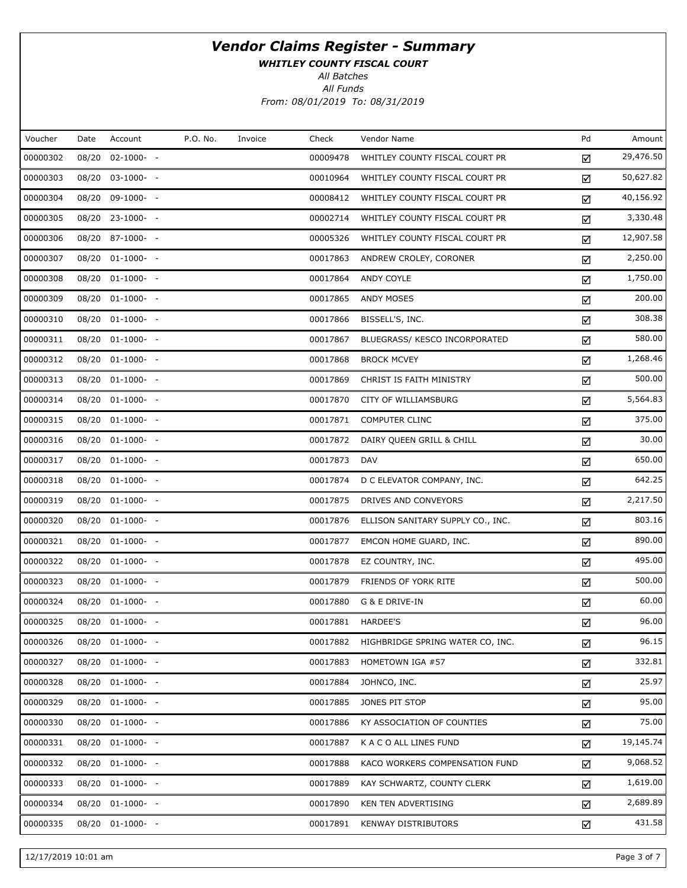WHITLEY COUNTY FISCAL COURT

All Batches

All Funds From: 08/01/2019 To: 08/31/2019

| Voucher  | Date  | Account          | P.O. No. | Invoice | Check    | Vendor Name                       | Pd | Amount    |
|----------|-------|------------------|----------|---------|----------|-----------------------------------|----|-----------|
| 00000302 | 08/20 | $02 - 1000 - -$  |          |         | 00009478 | WHITLEY COUNTY FISCAL COURT PR    | ☑  | 29,476.50 |
| 00000303 |       | 08/20 03-1000- - |          |         | 00010964 | WHITLEY COUNTY FISCAL COURT PR    | ☑  | 50,627.82 |
| 00000304 |       | 08/20 09-1000- - |          |         | 00008412 | WHITLEY COUNTY FISCAL COURT PR    | ☑  | 40,156.92 |
| 00000305 |       | 08/20 23-1000- - |          |         | 00002714 | WHITLEY COUNTY FISCAL COURT PR    | ☑  | 3,330.48  |
| 00000306 |       | 08/20 87-1000- - |          |         | 00005326 | WHITLEY COUNTY FISCAL COURT PR    | ☑  | 12,907.58 |
| 00000307 |       | 08/20 01-1000- - |          |         | 00017863 | ANDREW CROLEY, CORONER            | ☑  | 2,250.00  |
| 00000308 |       | 08/20 01-1000- - |          |         | 00017864 | ANDY COYLE                        | ☑  | 1,750.00  |
| 00000309 |       | 08/20 01-1000- - |          |         | 00017865 | ANDY MOSES                        | ☑  | 200.00    |
| 00000310 |       | 08/20 01-1000- - |          |         | 00017866 | BISSELL'S, INC.                   | ☑  | 308.38    |
| 00000311 |       | 08/20 01-1000- - |          |         | 00017867 | BLUEGRASS/ KESCO INCORPORATED     | ☑  | 580.00    |
| 00000312 |       | 08/20 01-1000- - |          |         | 00017868 | <b>BROCK MCVEY</b>                | ☑  | 1,268.46  |
| 00000313 |       | 08/20 01-1000- - |          |         | 00017869 | CHRIST IS FAITH MINISTRY          | ☑  | 500.00    |
| 00000314 |       | 08/20 01-1000- - |          |         | 00017870 | CITY OF WILLIAMSBURG              | ☑  | 5,564.83  |
| 00000315 |       | 08/20 01-1000- - |          |         | 00017871 | <b>COMPUTER CLINC</b>             | ☑  | 375.00    |
| 00000316 |       | 08/20 01-1000- - |          |         | 00017872 | DAIRY QUEEN GRILL & CHILL         | ☑  | 30.00     |
| 00000317 |       | 08/20 01-1000- - |          |         | 00017873 | <b>DAV</b>                        | ☑  | 650.00    |
| 00000318 |       | 08/20 01-1000- - |          |         | 00017874 | D C ELEVATOR COMPANY, INC.        | ☑  | 642.25    |
| 00000319 |       | 08/20 01-1000- - |          |         | 00017875 | DRIVES AND CONVEYORS              | ☑  | 2,217.50  |
| 00000320 |       | 08/20 01-1000- - |          |         | 00017876 | ELLISON SANITARY SUPPLY CO., INC. | ☑  | 803.16    |
| 00000321 |       | 08/20 01-1000- - |          |         | 00017877 | EMCON HOME GUARD, INC.            | ☑  | 890.00    |
| 00000322 |       | 08/20 01-1000- - |          |         | 00017878 | EZ COUNTRY, INC.                  | ☑  | 495.00    |
| 00000323 |       | 08/20 01-1000- - |          |         | 00017879 | FRIENDS OF YORK RITE              | ☑  | 500.00    |
| 00000324 |       | 08/20 01-1000- - |          |         | 00017880 | G & E DRIVE-IN                    | ☑  | 60.00     |
| 00000325 |       | 08/20 01-1000- - |          |         | 00017881 | HARDEE'S                          | ☑  | 96.00     |
| 00000326 |       | 08/20 01-1000- - |          |         | 00017882 | HIGHBRIDGE SPRING WATER CO, INC.  | ☑  | 96.15     |
| 00000327 |       | 08/20 01-1000- - |          |         | 00017883 | HOMETOWN IGA #57                  | ☑  | 332.81    |
| 00000328 |       | 08/20 01-1000- - |          |         | 00017884 | JOHNCO, INC.                      | ☑  | 25.97     |
| 00000329 |       | 08/20 01-1000- - |          |         | 00017885 | JONES PIT STOP                    | ☑  | 95.00     |
| 00000330 |       | 08/20 01-1000- - |          |         | 00017886 | KY ASSOCIATION OF COUNTIES        | ☑  | 75.00     |
| 00000331 |       | 08/20 01-1000- - |          |         | 00017887 | K A C O ALL LINES FUND            | ☑  | 19,145.74 |
| 00000332 |       | 08/20 01-1000- - |          |         | 00017888 | KACO WORKERS COMPENSATION FUND    | ☑  | 9,068.52  |
| 00000333 |       | 08/20 01-1000- - |          |         | 00017889 | KAY SCHWARTZ, COUNTY CLERK        | ☑  | 1,619.00  |
| 00000334 |       | 08/20 01-1000- - |          |         | 00017890 | KEN TEN ADVERTISING               | ☑  | 2,689.89  |
| 00000335 |       | 08/20 01-1000- - |          |         | 00017891 | <b>KENWAY DISTRIBUTORS</b>        | ☑  | 431.58    |

12/17/2019 10:01 am Page 3 of 7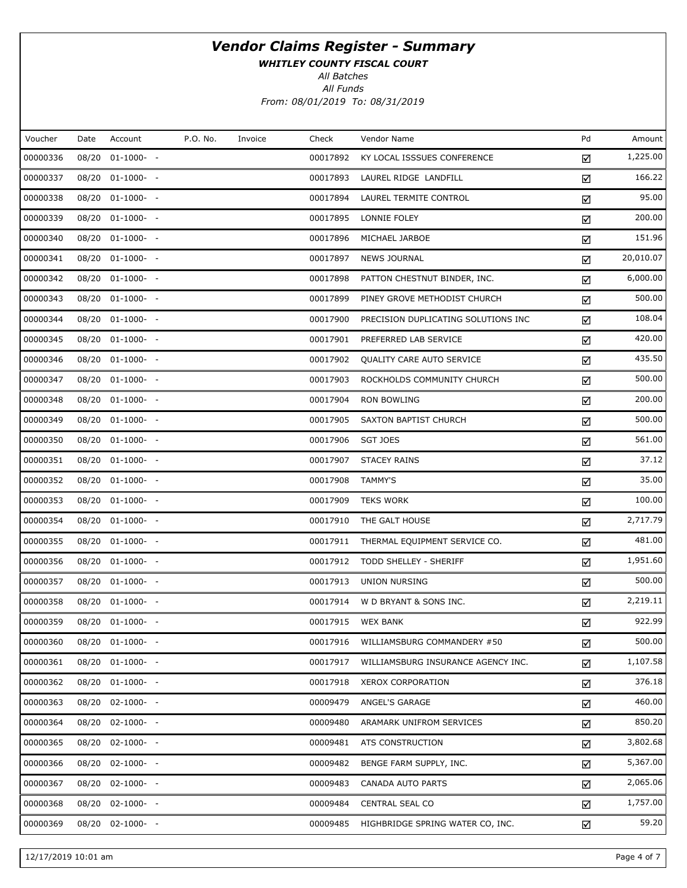WHITLEY COUNTY FISCAL COURT

All Batches

All Funds From: 08/01/2019 To: 08/31/2019

| Voucher  | Date | Account          | P.O. No. | Invoice | Check    | Vendor Name                         | Pd | Amount    |
|----------|------|------------------|----------|---------|----------|-------------------------------------|----|-----------|
| 00000336 |      | 08/20 01-1000- - |          |         | 00017892 | KY LOCAL ISSSUES CONFERENCE         | ☑  | 1,225.00  |
| 00000337 |      | 08/20 01-1000- - |          |         | 00017893 | LAUREL RIDGE LANDFILL               | ☑  | 166.22    |
| 00000338 |      | 08/20 01-1000- - |          |         | 00017894 | LAUREL TERMITE CONTROL              | ☑  | 95.00     |
| 00000339 |      | 08/20 01-1000- - |          |         | 00017895 | LONNIE FOLEY                        | ☑  | 200.00    |
| 00000340 |      | 08/20 01-1000- - |          |         | 00017896 | MICHAEL JARBOE                      | ☑  | 151.96    |
| 00000341 |      | 08/20 01-1000- - |          |         | 00017897 | <b>NEWS JOURNAL</b>                 | ☑  | 20,010.07 |
| 00000342 |      | 08/20 01-1000- - |          |         | 00017898 | PATTON CHESTNUT BINDER, INC.        | ☑  | 6,000.00  |
| 00000343 |      | 08/20 01-1000- - |          |         | 00017899 | PINEY GROVE METHODIST CHURCH        | ☑  | 500.00    |
| 00000344 |      | 08/20 01-1000- - |          |         | 00017900 | PRECISION DUPLICATING SOLUTIONS INC | ☑  | 108.04    |
| 00000345 |      | 08/20 01-1000- - |          |         | 00017901 | PREFERRED LAB SERVICE               | ☑  | 420.00    |
| 00000346 |      | 08/20 01-1000- - |          |         | 00017902 | QUALITY CARE AUTO SERVICE           | ☑  | 435.50    |
| 00000347 |      | 08/20 01-1000- - |          |         | 00017903 | ROCKHOLDS COMMUNITY CHURCH          | ☑  | 500.00    |
| 00000348 |      | 08/20 01-1000- - |          |         | 00017904 | <b>RON BOWLING</b>                  | ☑  | 200.00    |
| 00000349 |      | 08/20 01-1000- - |          |         | 00017905 | SAXTON BAPTIST CHURCH               | ☑  | 500.00    |
| 00000350 |      | 08/20 01-1000- - |          |         | 00017906 | SGT JOES                            | ☑  | 561.00    |
| 00000351 |      | 08/20 01-1000- - |          |         | 00017907 | <b>STACEY RAINS</b>                 | ☑  | 37.12     |
| 00000352 |      | 08/20 01-1000- - |          |         | 00017908 | TAMMY'S                             | ☑  | 35.00     |
| 00000353 |      | 08/20 01-1000- - |          |         | 00017909 | <b>TEKS WORK</b>                    | ☑  | 100.00    |
| 00000354 |      | 08/20 01-1000- - |          |         | 00017910 | THE GALT HOUSE                      | ☑  | 2,717.79  |
| 00000355 |      | 08/20 01-1000- - |          |         | 00017911 | THERMAL EQUIPMENT SERVICE CO.       | ☑  | 481.00    |
| 00000356 |      | 08/20 01-1000- - |          |         | 00017912 | TODD SHELLEY - SHERIFF              | ☑  | 1,951.60  |
| 00000357 |      | 08/20 01-1000- - |          |         | 00017913 | <b>UNION NURSING</b>                | ☑  | 500.00    |
| 00000358 |      | 08/20 01-1000- - |          |         | 00017914 | W D BRYANT & SONS INC.              | ☑  | 2,219.11  |
| 00000359 |      | 08/20 01-1000- - |          |         | 00017915 | <b>WEX BANK</b>                     | ☑  | 922.99    |
| 00000360 |      | 08/20 01-1000- - |          |         | 00017916 | WILLIAMSBURG COMMANDERY #50         | ☑  | 500.00    |
| 00000361 |      | 08/20 01-1000- - |          |         | 00017917 | WILLIAMSBURG INSURANCE AGENCY INC.  | ☑  | 1,107.58  |
| 00000362 |      | 08/20 01-1000- - |          |         | 00017918 | <b>XEROX CORPORATION</b>            | ☑  | 376.18    |
| 00000363 |      | 08/20 02-1000- - |          |         | 00009479 | ANGEL'S GARAGE                      | ☑  | 460.00    |
| 00000364 |      | 08/20 02-1000- - |          |         | 00009480 | ARAMARK UNIFROM SERVICES            | ☑  | 850.20    |
| 00000365 |      | 08/20 02-1000- - |          |         | 00009481 | ATS CONSTRUCTION                    | ☑  | 3,802.68  |
| 00000366 |      | 08/20 02-1000- - |          |         | 00009482 | BENGE FARM SUPPLY, INC.             | ☑  | 5,367.00  |
| 00000367 |      | 08/20 02-1000- - |          |         | 00009483 | CANADA AUTO PARTS                   | ☑  | 2,065.06  |
| 00000368 |      | 08/20 02-1000- - |          |         | 00009484 | <b>CENTRAL SEAL CO</b>              | ☑  | 1,757.00  |
| 00000369 |      | 08/20 02-1000- - |          |         | 00009485 | HIGHBRIDGE SPRING WATER CO, INC.    | ☑  | 59.20     |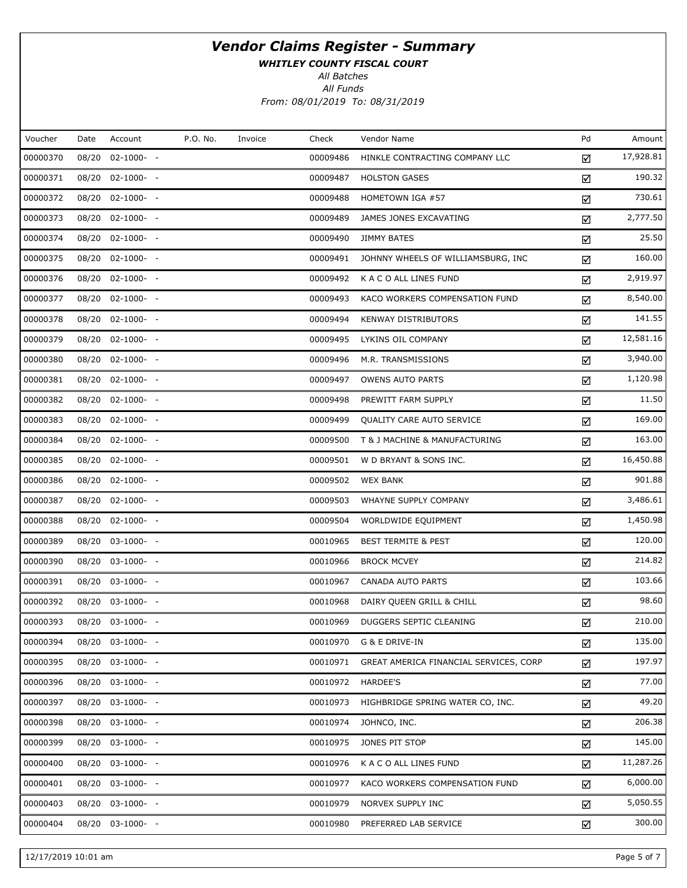WHITLEY COUNTY FISCAL COURT

All Batches

All Funds From: 08/01/2019 To: 08/31/2019

| Voucher  | Date  | Account          | P.O. No. | Invoice | Check    | Vendor Name                            | Pd | Amount    |
|----------|-------|------------------|----------|---------|----------|----------------------------------------|----|-----------|
| 00000370 |       | 08/20 02-1000- - |          |         | 00009486 | HINKLE CONTRACTING COMPANY LLC         | ☑  | 17,928.81 |
| 00000371 |       | 08/20 02-1000- - |          |         | 00009487 | <b>HOLSTON GASES</b>                   | ☑  | 190.32    |
| 00000372 |       | 08/20 02-1000- - |          |         | 00009488 | HOMETOWN IGA #57                       | ☑  | 730.61    |
| 00000373 |       | 08/20 02-1000- - |          |         | 00009489 | JAMES JONES EXCAVATING                 | ☑  | 2,777.50  |
| 00000374 |       | 08/20 02-1000- - |          |         | 00009490 | <b>JIMMY BATES</b>                     | ☑  | 25.50     |
| 00000375 |       | 08/20 02-1000- - |          |         | 00009491 | JOHNNY WHEELS OF WILLIAMSBURG, INC     | ☑  | 160.00    |
| 00000376 |       | 08/20 02-1000- - |          |         | 00009492 | K A C O ALL LINES FUND                 | ☑  | 2,919.97  |
| 00000377 |       | 08/20 02-1000- - |          |         | 00009493 | KACO WORKERS COMPENSATION FUND         | ☑  | 8,540.00  |
| 00000378 |       | 08/20 02-1000- - |          |         | 00009494 | KENWAY DISTRIBUTORS                    | ☑  | 141.55    |
| 00000379 |       | 08/20 02-1000- - |          |         | 00009495 | LYKINS OIL COMPANY                     | ☑  | 12,581.16 |
| 00000380 |       | 08/20 02-1000- - |          |         | 00009496 | M.R. TRANSMISSIONS                     | ☑  | 3,940.00  |
| 00000381 |       | 08/20 02-1000- - |          |         | 00009497 | <b>OWENS AUTO PARTS</b>                | ☑  | 1,120.98  |
| 00000382 |       | 08/20 02-1000- - |          |         | 00009498 | PREWITT FARM SUPPLY                    | ☑  | 11.50     |
| 00000383 |       | 08/20 02-1000- - |          |         | 00009499 | QUALITY CARE AUTO SERVICE              | ☑  | 169.00    |
| 00000384 |       | 08/20 02-1000- - |          |         | 00009500 | T & J MACHINE & MANUFACTURING          | ☑  | 163.00    |
| 00000385 |       | 08/20 02-1000- - |          |         | 00009501 | W D BRYANT & SONS INC.                 | ☑  | 16,450.88 |
| 00000386 |       | 08/20 02-1000- - |          |         | 00009502 | <b>WEX BANK</b>                        | ☑  | 901.88    |
| 00000387 |       | 08/20 02-1000- - |          |         | 00009503 | WHAYNE SUPPLY COMPANY                  | ☑  | 3,486.61  |
| 00000388 |       | 08/20 02-1000- - |          |         | 00009504 | WORLDWIDE EQUIPMENT                    | ☑  | 1,450.98  |
| 00000389 |       | 08/20 03-1000- - |          |         | 00010965 | <b>BEST TERMITE &amp; PEST</b>         | ☑  | 120.00    |
| 00000390 |       | 08/20 03-1000- - |          |         | 00010966 | <b>BROCK MCVEY</b>                     | ☑  | 214.82    |
| 00000391 |       | 08/20 03-1000- - |          |         | 00010967 | CANADA AUTO PARTS                      | ☑  | 103.66    |
| 00000392 |       | 08/20 03-1000- - |          |         | 00010968 | DAIRY QUEEN GRILL & CHILL              | ☑  | 98.60     |
| 00000393 |       | 08/20 03-1000- - |          |         | 00010969 | DUGGERS SEPTIC CLEANING                | ☑  | 210.00    |
| 00000394 |       | 08/20 03-1000- - |          |         | 00010970 | G & E DRIVE-IN                         | ☑  | 135.00    |
| 00000395 | 08/20 | $03-1000- -$     |          |         | 00010971 | GREAT AMERICA FINANCIAL SERVICES, CORP | ☑  | 197.97    |
| 00000396 |       | 08/20 03-1000- - |          |         | 00010972 | HARDEE'S                               | ☑  | 77.00     |
| 00000397 | 08/20 | $03-1000- -$     |          |         | 00010973 | HIGHBRIDGE SPRING WATER CO, INC.       | ☑  | 49.20     |
| 00000398 | 08/20 | $03-1000- -$     |          |         | 00010974 | JOHNCO, INC.                           | ☑  | 206.38    |
| 00000399 | 08/20 | $03-1000- -$     |          |         | 00010975 | JONES PIT STOP                         | ☑  | 145.00    |
| 00000400 | 08/20 | $03-1000- -$     |          |         | 00010976 | K A C O ALL LINES FUND                 | ☑  | 11,287.26 |
| 00000401 | 08/20 | $03-1000- -$     |          |         | 00010977 | KACO WORKERS COMPENSATION FUND         | ☑  | 6,000.00  |
| 00000403 | 08/20 | $03-1000- -$     |          |         | 00010979 | NORVEX SUPPLY INC                      | ☑  | 5,050.55  |
| 00000404 | 08/20 | $03-1000- -$     |          |         | 00010980 | PREFERRED LAB SERVICE                  | ☑  | 300.00    |

12/17/2019 10:01 am Page 5 of 7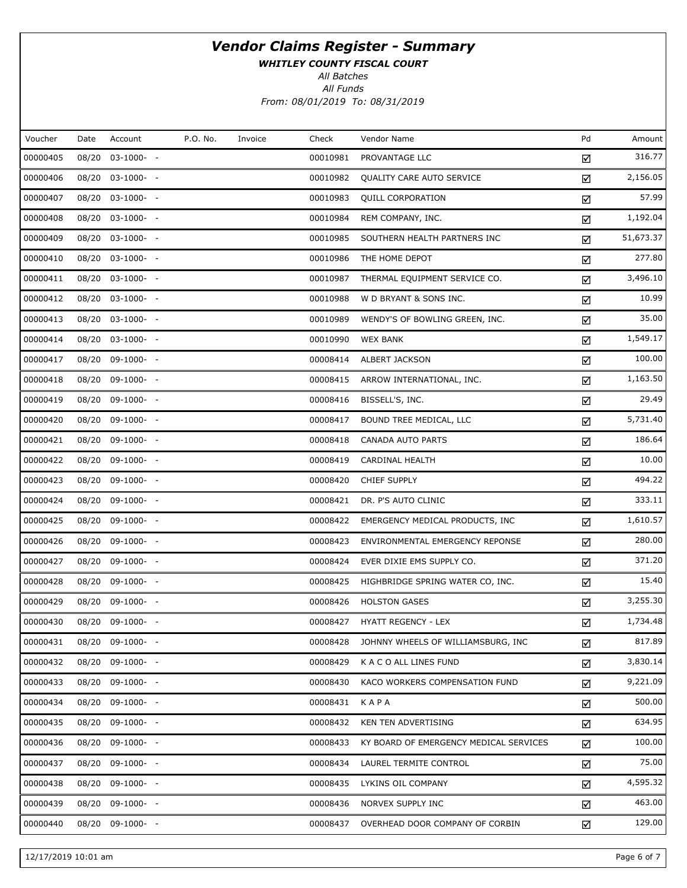WHITLEY COUNTY FISCAL COURT

All Batches

All Funds From: 08/01/2019 To: 08/31/2019

| Voucher<br>P.O. No.<br>Pd<br>Account<br>Check<br>Vendor Name<br>Date<br>Invoice<br>00000405<br>08/20 03-1000- -<br>00010981<br>PROVANTAGE LLC<br>☑<br>00000406<br>08/20 03-1000- -<br>00010982<br>QUALITY CARE AUTO SERVICE<br>☑<br>00000407<br>00010983<br>08/20 03-1000- -<br><b>QUILL CORPORATION</b><br>☑<br>00000408<br>08/20 03-1000- -<br>00010984<br>REM COMPANY, INC.<br>☑<br>00000409<br>08/20 03-1000- -<br>00010985<br>SOUTHERN HEALTH PARTNERS INC<br>☑<br>00000410<br>08/20 03-1000- -<br>00010986<br>THE HOME DEPOT<br>☑<br>00000411<br>08/20 03-1000- -<br>00010987<br>THERMAL EQUIPMENT SERVICE CO.<br>☑<br>00000412<br>08/20 03-1000- -<br>00010988<br>W D BRYANT & SONS INC.<br>☑<br>00000413<br>08/20 03-1000- -<br>00010989<br>WENDY'S OF BOWLING GREEN, INC.<br>☑<br>00000414<br>08/20 03-1000- -<br>00010990<br><b>WEX BANK</b><br>☑<br>00000417<br>08/20 09-1000- -<br>00008414<br>ALBERT JACKSON<br>☑<br>00000418<br>08/20 09-1000- -<br>00008415<br>ARROW INTERNATIONAL, INC.<br>☑<br>00000419<br>08/20 09-1000- -<br>00008416<br>BISSELL'S, INC.<br>☑<br>00000420<br>08/20 09-1000- -<br>00008417<br>BOUND TREE MEDICAL, LLC<br>☑<br>00000421<br>08/20 09-1000- -<br>00008418<br>CANADA AUTO PARTS<br>☑<br>00000422<br>08/20 09-1000- -<br>00008419<br>CARDINAL HEALTH<br>☑<br>00000423<br>08/20 09-1000- -<br>00008420<br>CHIEF SUPPLY<br>☑<br>00000424<br>08/20 09-1000- -<br>00008421<br>DR. P'S AUTO CLINIC<br>☑<br>00000425<br>08/20 09-1000- -<br>00008422<br>EMERGENCY MEDICAL PRODUCTS, INC.<br>☑<br>00000426<br>08/20 09-1000- -<br>00008423<br>ENVIRONMENTAL EMERGENCY REPONSE<br>☑<br>00000427<br>08/20 09-1000- -<br>00008424<br>EVER DIXIE EMS SUPPLY CO.<br>☑<br>00000428<br>08/20 09-1000- -<br>00008425<br>HIGHBRIDGE SPRING WATER CO, INC.<br>☑<br>00000429<br>08/20 09-1000- -<br>00008426<br><b>HOLSTON GASES</b><br>☑<br>00000430<br>08/20 09-1000- -<br>00008427<br><b>HYATT REGENCY - LEX</b><br>☑<br>00000431<br>08/20 09-1000- -<br>00008428<br>JOHNNY WHEELS OF WILLIAMSBURG, INC<br>☑<br>00000432<br>08/20 09-1000- -<br>00008429<br>K A C O ALL LINES FUND<br>☑<br>00000433<br>08/20 09-1000- -<br>00008430<br>KACO WORKERS COMPENSATION FUND<br>☑<br>00000434<br>08/20 09-1000- -<br>00008431<br>KAPA<br>☑<br>00000435<br>08/20 09-1000- -<br>00008432<br>KEN TEN ADVERTISING<br>☑<br>00000436<br>08/20 09-1000- -<br>00008433<br>KY BOARD OF EMERGENCY MEDICAL SERVICES<br>☑<br>00000437<br>08/20 09-1000- -<br>00008434<br>LAUREL TERMITE CONTROL<br>☑<br>00000438<br>08/20 09-1000- -<br>00008435<br>LYKINS OIL COMPANY<br>☑<br>00000439<br>08/20 09-1000- -<br>00008436<br>NORVEX SUPPLY INC<br>☑<br>00000440<br>08/20 09-1000- -<br>00008437<br>OVERHEAD DOOR COMPANY OF CORBIN<br>☑ |  |  |  |  |           |
|--------------------------------------------------------------------------------------------------------------------------------------------------------------------------------------------------------------------------------------------------------------------------------------------------------------------------------------------------------------------------------------------------------------------------------------------------------------------------------------------------------------------------------------------------------------------------------------------------------------------------------------------------------------------------------------------------------------------------------------------------------------------------------------------------------------------------------------------------------------------------------------------------------------------------------------------------------------------------------------------------------------------------------------------------------------------------------------------------------------------------------------------------------------------------------------------------------------------------------------------------------------------------------------------------------------------------------------------------------------------------------------------------------------------------------------------------------------------------------------------------------------------------------------------------------------------------------------------------------------------------------------------------------------------------------------------------------------------------------------------------------------------------------------------------------------------------------------------------------------------------------------------------------------------------------------------------------------------------------------------------------------------------------------------------------------------------------------------------------------------------------------------------------------------------------------------------------------------------------------------------------------------------------------------------------------------------------------------------------------------------------------------------------------------------------------------------------------------------------------------------------------------------------------------------------------------------------------------------------------------------------------------------------------------------------------------------------------------------------------------------|--|--|--|--|-----------|
|                                                                                                                                                                                                                                                                                                                                                                                                                                                                                                                                                                                                                                                                                                                                                                                                                                                                                                                                                                                                                                                                                                                                                                                                                                                                                                                                                                                                                                                                                                                                                                                                                                                                                                                                                                                                                                                                                                                                                                                                                                                                                                                                                                                                                                                                                                                                                                                                                                                                                                                                                                                                                                                                                                                                                  |  |  |  |  | Amount    |
|                                                                                                                                                                                                                                                                                                                                                                                                                                                                                                                                                                                                                                                                                                                                                                                                                                                                                                                                                                                                                                                                                                                                                                                                                                                                                                                                                                                                                                                                                                                                                                                                                                                                                                                                                                                                                                                                                                                                                                                                                                                                                                                                                                                                                                                                                                                                                                                                                                                                                                                                                                                                                                                                                                                                                  |  |  |  |  | 316.77    |
|                                                                                                                                                                                                                                                                                                                                                                                                                                                                                                                                                                                                                                                                                                                                                                                                                                                                                                                                                                                                                                                                                                                                                                                                                                                                                                                                                                                                                                                                                                                                                                                                                                                                                                                                                                                                                                                                                                                                                                                                                                                                                                                                                                                                                                                                                                                                                                                                                                                                                                                                                                                                                                                                                                                                                  |  |  |  |  | 2,156.05  |
|                                                                                                                                                                                                                                                                                                                                                                                                                                                                                                                                                                                                                                                                                                                                                                                                                                                                                                                                                                                                                                                                                                                                                                                                                                                                                                                                                                                                                                                                                                                                                                                                                                                                                                                                                                                                                                                                                                                                                                                                                                                                                                                                                                                                                                                                                                                                                                                                                                                                                                                                                                                                                                                                                                                                                  |  |  |  |  | 57.99     |
|                                                                                                                                                                                                                                                                                                                                                                                                                                                                                                                                                                                                                                                                                                                                                                                                                                                                                                                                                                                                                                                                                                                                                                                                                                                                                                                                                                                                                                                                                                                                                                                                                                                                                                                                                                                                                                                                                                                                                                                                                                                                                                                                                                                                                                                                                                                                                                                                                                                                                                                                                                                                                                                                                                                                                  |  |  |  |  | 1,192.04  |
|                                                                                                                                                                                                                                                                                                                                                                                                                                                                                                                                                                                                                                                                                                                                                                                                                                                                                                                                                                                                                                                                                                                                                                                                                                                                                                                                                                                                                                                                                                                                                                                                                                                                                                                                                                                                                                                                                                                                                                                                                                                                                                                                                                                                                                                                                                                                                                                                                                                                                                                                                                                                                                                                                                                                                  |  |  |  |  | 51,673.37 |
|                                                                                                                                                                                                                                                                                                                                                                                                                                                                                                                                                                                                                                                                                                                                                                                                                                                                                                                                                                                                                                                                                                                                                                                                                                                                                                                                                                                                                                                                                                                                                                                                                                                                                                                                                                                                                                                                                                                                                                                                                                                                                                                                                                                                                                                                                                                                                                                                                                                                                                                                                                                                                                                                                                                                                  |  |  |  |  | 277.80    |
|                                                                                                                                                                                                                                                                                                                                                                                                                                                                                                                                                                                                                                                                                                                                                                                                                                                                                                                                                                                                                                                                                                                                                                                                                                                                                                                                                                                                                                                                                                                                                                                                                                                                                                                                                                                                                                                                                                                                                                                                                                                                                                                                                                                                                                                                                                                                                                                                                                                                                                                                                                                                                                                                                                                                                  |  |  |  |  | 3,496.10  |
|                                                                                                                                                                                                                                                                                                                                                                                                                                                                                                                                                                                                                                                                                                                                                                                                                                                                                                                                                                                                                                                                                                                                                                                                                                                                                                                                                                                                                                                                                                                                                                                                                                                                                                                                                                                                                                                                                                                                                                                                                                                                                                                                                                                                                                                                                                                                                                                                                                                                                                                                                                                                                                                                                                                                                  |  |  |  |  | 10.99     |
|                                                                                                                                                                                                                                                                                                                                                                                                                                                                                                                                                                                                                                                                                                                                                                                                                                                                                                                                                                                                                                                                                                                                                                                                                                                                                                                                                                                                                                                                                                                                                                                                                                                                                                                                                                                                                                                                                                                                                                                                                                                                                                                                                                                                                                                                                                                                                                                                                                                                                                                                                                                                                                                                                                                                                  |  |  |  |  | 35.00     |
|                                                                                                                                                                                                                                                                                                                                                                                                                                                                                                                                                                                                                                                                                                                                                                                                                                                                                                                                                                                                                                                                                                                                                                                                                                                                                                                                                                                                                                                                                                                                                                                                                                                                                                                                                                                                                                                                                                                                                                                                                                                                                                                                                                                                                                                                                                                                                                                                                                                                                                                                                                                                                                                                                                                                                  |  |  |  |  | 1,549.17  |
|                                                                                                                                                                                                                                                                                                                                                                                                                                                                                                                                                                                                                                                                                                                                                                                                                                                                                                                                                                                                                                                                                                                                                                                                                                                                                                                                                                                                                                                                                                                                                                                                                                                                                                                                                                                                                                                                                                                                                                                                                                                                                                                                                                                                                                                                                                                                                                                                                                                                                                                                                                                                                                                                                                                                                  |  |  |  |  | 100.00    |
|                                                                                                                                                                                                                                                                                                                                                                                                                                                                                                                                                                                                                                                                                                                                                                                                                                                                                                                                                                                                                                                                                                                                                                                                                                                                                                                                                                                                                                                                                                                                                                                                                                                                                                                                                                                                                                                                                                                                                                                                                                                                                                                                                                                                                                                                                                                                                                                                                                                                                                                                                                                                                                                                                                                                                  |  |  |  |  | 1,163.50  |
|                                                                                                                                                                                                                                                                                                                                                                                                                                                                                                                                                                                                                                                                                                                                                                                                                                                                                                                                                                                                                                                                                                                                                                                                                                                                                                                                                                                                                                                                                                                                                                                                                                                                                                                                                                                                                                                                                                                                                                                                                                                                                                                                                                                                                                                                                                                                                                                                                                                                                                                                                                                                                                                                                                                                                  |  |  |  |  | 29.49     |
|                                                                                                                                                                                                                                                                                                                                                                                                                                                                                                                                                                                                                                                                                                                                                                                                                                                                                                                                                                                                                                                                                                                                                                                                                                                                                                                                                                                                                                                                                                                                                                                                                                                                                                                                                                                                                                                                                                                                                                                                                                                                                                                                                                                                                                                                                                                                                                                                                                                                                                                                                                                                                                                                                                                                                  |  |  |  |  | 5,731.40  |
|                                                                                                                                                                                                                                                                                                                                                                                                                                                                                                                                                                                                                                                                                                                                                                                                                                                                                                                                                                                                                                                                                                                                                                                                                                                                                                                                                                                                                                                                                                                                                                                                                                                                                                                                                                                                                                                                                                                                                                                                                                                                                                                                                                                                                                                                                                                                                                                                                                                                                                                                                                                                                                                                                                                                                  |  |  |  |  | 186.64    |
|                                                                                                                                                                                                                                                                                                                                                                                                                                                                                                                                                                                                                                                                                                                                                                                                                                                                                                                                                                                                                                                                                                                                                                                                                                                                                                                                                                                                                                                                                                                                                                                                                                                                                                                                                                                                                                                                                                                                                                                                                                                                                                                                                                                                                                                                                                                                                                                                                                                                                                                                                                                                                                                                                                                                                  |  |  |  |  | 10.00     |
|                                                                                                                                                                                                                                                                                                                                                                                                                                                                                                                                                                                                                                                                                                                                                                                                                                                                                                                                                                                                                                                                                                                                                                                                                                                                                                                                                                                                                                                                                                                                                                                                                                                                                                                                                                                                                                                                                                                                                                                                                                                                                                                                                                                                                                                                                                                                                                                                                                                                                                                                                                                                                                                                                                                                                  |  |  |  |  | 494.22    |
|                                                                                                                                                                                                                                                                                                                                                                                                                                                                                                                                                                                                                                                                                                                                                                                                                                                                                                                                                                                                                                                                                                                                                                                                                                                                                                                                                                                                                                                                                                                                                                                                                                                                                                                                                                                                                                                                                                                                                                                                                                                                                                                                                                                                                                                                                                                                                                                                                                                                                                                                                                                                                                                                                                                                                  |  |  |  |  | 333.11    |
|                                                                                                                                                                                                                                                                                                                                                                                                                                                                                                                                                                                                                                                                                                                                                                                                                                                                                                                                                                                                                                                                                                                                                                                                                                                                                                                                                                                                                                                                                                                                                                                                                                                                                                                                                                                                                                                                                                                                                                                                                                                                                                                                                                                                                                                                                                                                                                                                                                                                                                                                                                                                                                                                                                                                                  |  |  |  |  | 1,610.57  |
|                                                                                                                                                                                                                                                                                                                                                                                                                                                                                                                                                                                                                                                                                                                                                                                                                                                                                                                                                                                                                                                                                                                                                                                                                                                                                                                                                                                                                                                                                                                                                                                                                                                                                                                                                                                                                                                                                                                                                                                                                                                                                                                                                                                                                                                                                                                                                                                                                                                                                                                                                                                                                                                                                                                                                  |  |  |  |  | 280.00    |
|                                                                                                                                                                                                                                                                                                                                                                                                                                                                                                                                                                                                                                                                                                                                                                                                                                                                                                                                                                                                                                                                                                                                                                                                                                                                                                                                                                                                                                                                                                                                                                                                                                                                                                                                                                                                                                                                                                                                                                                                                                                                                                                                                                                                                                                                                                                                                                                                                                                                                                                                                                                                                                                                                                                                                  |  |  |  |  | 371.20    |
|                                                                                                                                                                                                                                                                                                                                                                                                                                                                                                                                                                                                                                                                                                                                                                                                                                                                                                                                                                                                                                                                                                                                                                                                                                                                                                                                                                                                                                                                                                                                                                                                                                                                                                                                                                                                                                                                                                                                                                                                                                                                                                                                                                                                                                                                                                                                                                                                                                                                                                                                                                                                                                                                                                                                                  |  |  |  |  | 15.40     |
|                                                                                                                                                                                                                                                                                                                                                                                                                                                                                                                                                                                                                                                                                                                                                                                                                                                                                                                                                                                                                                                                                                                                                                                                                                                                                                                                                                                                                                                                                                                                                                                                                                                                                                                                                                                                                                                                                                                                                                                                                                                                                                                                                                                                                                                                                                                                                                                                                                                                                                                                                                                                                                                                                                                                                  |  |  |  |  | 3,255.30  |
|                                                                                                                                                                                                                                                                                                                                                                                                                                                                                                                                                                                                                                                                                                                                                                                                                                                                                                                                                                                                                                                                                                                                                                                                                                                                                                                                                                                                                                                                                                                                                                                                                                                                                                                                                                                                                                                                                                                                                                                                                                                                                                                                                                                                                                                                                                                                                                                                                                                                                                                                                                                                                                                                                                                                                  |  |  |  |  | 1,734.48  |
|                                                                                                                                                                                                                                                                                                                                                                                                                                                                                                                                                                                                                                                                                                                                                                                                                                                                                                                                                                                                                                                                                                                                                                                                                                                                                                                                                                                                                                                                                                                                                                                                                                                                                                                                                                                                                                                                                                                                                                                                                                                                                                                                                                                                                                                                                                                                                                                                                                                                                                                                                                                                                                                                                                                                                  |  |  |  |  | 817.89    |
|                                                                                                                                                                                                                                                                                                                                                                                                                                                                                                                                                                                                                                                                                                                                                                                                                                                                                                                                                                                                                                                                                                                                                                                                                                                                                                                                                                                                                                                                                                                                                                                                                                                                                                                                                                                                                                                                                                                                                                                                                                                                                                                                                                                                                                                                                                                                                                                                                                                                                                                                                                                                                                                                                                                                                  |  |  |  |  | 3,830.14  |
|                                                                                                                                                                                                                                                                                                                                                                                                                                                                                                                                                                                                                                                                                                                                                                                                                                                                                                                                                                                                                                                                                                                                                                                                                                                                                                                                                                                                                                                                                                                                                                                                                                                                                                                                                                                                                                                                                                                                                                                                                                                                                                                                                                                                                                                                                                                                                                                                                                                                                                                                                                                                                                                                                                                                                  |  |  |  |  | 9,221.09  |
|                                                                                                                                                                                                                                                                                                                                                                                                                                                                                                                                                                                                                                                                                                                                                                                                                                                                                                                                                                                                                                                                                                                                                                                                                                                                                                                                                                                                                                                                                                                                                                                                                                                                                                                                                                                                                                                                                                                                                                                                                                                                                                                                                                                                                                                                                                                                                                                                                                                                                                                                                                                                                                                                                                                                                  |  |  |  |  | 500.00    |
|                                                                                                                                                                                                                                                                                                                                                                                                                                                                                                                                                                                                                                                                                                                                                                                                                                                                                                                                                                                                                                                                                                                                                                                                                                                                                                                                                                                                                                                                                                                                                                                                                                                                                                                                                                                                                                                                                                                                                                                                                                                                                                                                                                                                                                                                                                                                                                                                                                                                                                                                                                                                                                                                                                                                                  |  |  |  |  | 634.95    |
|                                                                                                                                                                                                                                                                                                                                                                                                                                                                                                                                                                                                                                                                                                                                                                                                                                                                                                                                                                                                                                                                                                                                                                                                                                                                                                                                                                                                                                                                                                                                                                                                                                                                                                                                                                                                                                                                                                                                                                                                                                                                                                                                                                                                                                                                                                                                                                                                                                                                                                                                                                                                                                                                                                                                                  |  |  |  |  | 100.00    |
|                                                                                                                                                                                                                                                                                                                                                                                                                                                                                                                                                                                                                                                                                                                                                                                                                                                                                                                                                                                                                                                                                                                                                                                                                                                                                                                                                                                                                                                                                                                                                                                                                                                                                                                                                                                                                                                                                                                                                                                                                                                                                                                                                                                                                                                                                                                                                                                                                                                                                                                                                                                                                                                                                                                                                  |  |  |  |  | 75.00     |
|                                                                                                                                                                                                                                                                                                                                                                                                                                                                                                                                                                                                                                                                                                                                                                                                                                                                                                                                                                                                                                                                                                                                                                                                                                                                                                                                                                                                                                                                                                                                                                                                                                                                                                                                                                                                                                                                                                                                                                                                                                                                                                                                                                                                                                                                                                                                                                                                                                                                                                                                                                                                                                                                                                                                                  |  |  |  |  | 4,595.32  |
|                                                                                                                                                                                                                                                                                                                                                                                                                                                                                                                                                                                                                                                                                                                                                                                                                                                                                                                                                                                                                                                                                                                                                                                                                                                                                                                                                                                                                                                                                                                                                                                                                                                                                                                                                                                                                                                                                                                                                                                                                                                                                                                                                                                                                                                                                                                                                                                                                                                                                                                                                                                                                                                                                                                                                  |  |  |  |  | 463.00    |
|                                                                                                                                                                                                                                                                                                                                                                                                                                                                                                                                                                                                                                                                                                                                                                                                                                                                                                                                                                                                                                                                                                                                                                                                                                                                                                                                                                                                                                                                                                                                                                                                                                                                                                                                                                                                                                                                                                                                                                                                                                                                                                                                                                                                                                                                                                                                                                                                                                                                                                                                                                                                                                                                                                                                                  |  |  |  |  | 129.00    |

12/17/2019 10:01 am Page 6 of 7